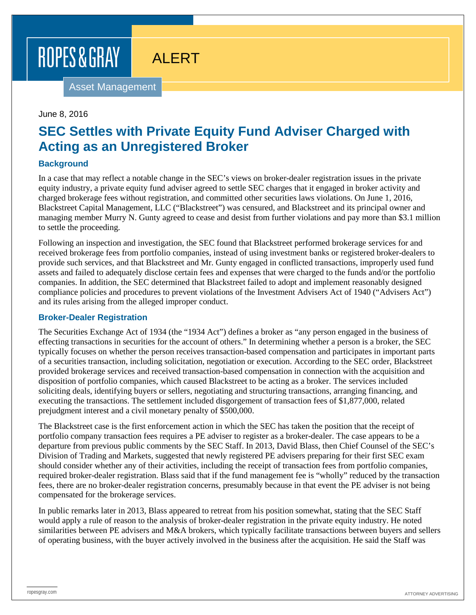# ROPES & GRAY

ALERT

Asset Management

#### June 8, 2016

# **SEC Settles with Private Equity Fund Adviser Charged with Acting as an Unregistered Broker**

## **Background**

In a case that may reflect a notable change in the SEC's views on broker-dealer registration issues in the private equity industry, a private equity fund adviser agreed to settle SEC charges that it engaged in broker activity and charged brokerage fees without registration, and committed other securities laws violations. On June 1, 2016, Blackstreet Capital Management, LLC ("Blackstreet") was censured, and Blackstreet and its principal owner and managing member Murry N. Gunty agreed to cease and desist from further violations and pay more than \$3.1 million to settle the proceeding.

Following an inspection and investigation, the SEC found that Blackstreet performed brokerage services for and received brokerage fees from portfolio companies, instead of using investment banks or registered broker-dealers to provide such services, and that Blackstreet and Mr. Gunty engaged in conflicted transactions, improperly used fund assets and failed to adequately disclose certain fees and expenses that were charged to the funds and/or the portfolio companies. In addition, the SEC determined that Blackstreet failed to adopt and implement reasonably designed compliance policies and procedures to prevent violations of the Investment Advisers Act of 1940 ("Advisers Act") and its rules arising from the alleged improper conduct.

#### **Broker-Dealer Registration**

The Securities Exchange Act of 1934 (the "1934 Act") defines a broker as "any person engaged in the business of effecting transactions in securities for the account of others." In determining whether a person is a broker, the SEC typically focuses on whether the person receives transaction-based compensation and participates in important parts of a securities transaction, including solicitation, negotiation or execution. According to the SEC order, Blackstreet provided brokerage services and received transaction-based compensation in connection with the acquisition and disposition of portfolio companies, which caused Blackstreet to be acting as a broker. The services included soliciting deals, identifying buyers or sellers, negotiating and structuring transactions, arranging financing, and executing the transactions. The settlement included disgorgement of transaction fees of \$1,877,000, related prejudgment interest and a civil monetary penalty of \$500,000.

The Blackstreet case is the first enforcement action in which the SEC has taken the position that the receipt of portfolio company transaction fees requires a PE adviser to register as a broker-dealer. The case appears to be a departure from previous public comments by the SEC Staff. In 2013, David Blass, then Chief Counsel of the SEC's Division of Trading and Markets, suggested that newly registered PE advisers preparing for their first SEC exam should consider whether any of their activities, including the receipt of transaction fees from portfolio companies, required broker-dealer registration. Blass said that if the fund management fee is "wholly" reduced by the transaction fees, there are no broker-dealer registration concerns, presumably because in that event the PE adviser is not being compensated for the brokerage services.

In public remarks later in 2013, Blass appeared to retreat from his position somewhat, stating that the SEC Staff would apply a rule of reason to the analysis of broker-dealer registration in the private equity industry. He noted similarities between PE advisers and M&A brokers, which typically facilitate transactions between buyers and sellers of operating business, with the buyer actively involved in the business after the acquisition. He said the Staff was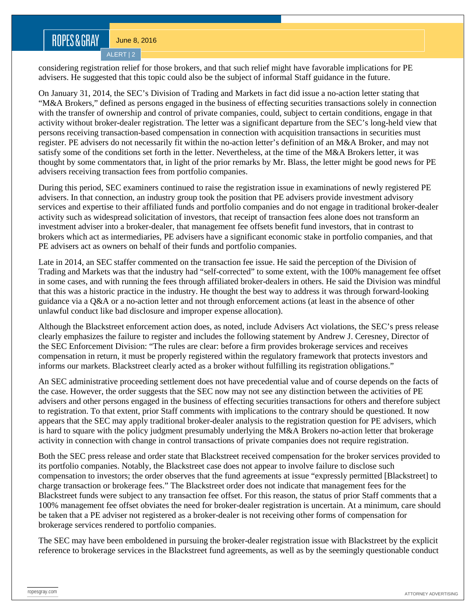# ROPES&GRAY

June 8, 2016

ALERT | 2

considering registration relief for those brokers, and that such relief might have favorable implications for PE advisers. He suggested that this topic could also be the subject of informal Staff guidance in the future.

On January 31, 2014, the SEC's Division of Trading and Markets in fact did issue a no-action letter stating that "M&A Brokers," defined as persons engaged in the business of effecting securities transactions solely in connection with the transfer of ownership and control of private companies, could, subject to certain conditions, engage in that activity without broker-dealer registration. The letter was a significant departure from the SEC's long-held view that persons receiving transaction-based compensation in connection with acquisition transactions in securities must register. PE advisers do not necessarily fit within the no-action letter's definition of an M&A Broker, and may not satisfy some of the conditions set forth in the letter. Nevertheless, at the time of the M&A Brokers letter, it was thought by some commentators that, in light of the prior remarks by Mr. Blass, the letter might be good news for PE advisers receiving transaction fees from portfolio companies.

During this period, SEC examiners continued to raise the registration issue in examinations of newly registered PE advisers. In that connection, an industry group took the position that PE advisers provide investment advisory services and expertise to their affiliated funds and portfolio companies and do not engage in traditional broker-dealer activity such as widespread solicitation of investors, that receipt of transaction fees alone does not transform an investment adviser into a broker-dealer, that management fee offsets benefit fund investors, that in contrast to brokers which act as intermediaries, PE advisers have a significant economic stake in portfolio companies, and that PE advisers act as owners on behalf of their funds and portfolio companies.

Late in 2014, an SEC staffer commented on the transaction fee issue. He said the perception of the Division of Trading and Markets was that the industry had "self-corrected" to some extent, with the 100% management fee offset in some cases, and with running the fees through affiliated broker-dealers in others. He said the Division was mindful that this was a historic practice in the industry. He thought the best way to address it was through forward-looking guidance via a Q&A or a no-action letter and not through enforcement actions (at least in the absence of other unlawful conduct like bad disclosure and improper expense allocation).

Although the Blackstreet enforcement action does, as noted, include Advisers Act violations, the SEC's press release clearly emphasizes the failure to register and includes the following statement by Andrew J. Ceresney, Director of the SEC Enforcement Division: "The rules are clear: before a firm provides brokerage services and receives compensation in return, it must be properly registered within the regulatory framework that protects investors and informs our markets. Blackstreet clearly acted as a broker without fulfilling its registration obligations."

An SEC administrative proceeding settlement does not have precedential value and of course depends on the facts of the case. However, the order suggests that the SEC now may not see any distinction between the activities of PE advisers and other persons engaged in the business of effecting securities transactions for others and therefore subject to registration. To that extent, prior Staff comments with implications to the contrary should be questioned. It now appears that the SEC may apply traditional broker-dealer analysis to the registration question for PE advisers, which is hard to square with the policy judgment presumably underlying the M&A Brokers no-action letter that brokerage activity in connection with change in control transactions of private companies does not require registration.

Both the SEC press release and order state that Blackstreet received compensation for the broker services provided to its portfolio companies. Notably, the Blackstreet case does not appear to involve failure to disclose such compensation to investors; the order observes that the fund agreements at issue "expressly permitted [Blackstreet] to charge transaction or brokerage fees." The Blackstreet order does not indicate that management fees for the Blackstreet funds were subject to any transaction fee offset. For this reason, the status of prior Staff comments that a 100% management fee offset obviates the need for broker-dealer registration is uncertain. At a minimum, care should be taken that a PE adviser not registered as a broker-dealer is not receiving other forms of compensation for brokerage services rendered to portfolio companies.

The SEC may have been emboldened in pursuing the broker-dealer registration issue with Blackstreet by the explicit reference to brokerage services in the Blackstreet fund agreements, as well as by the seemingly questionable conduct